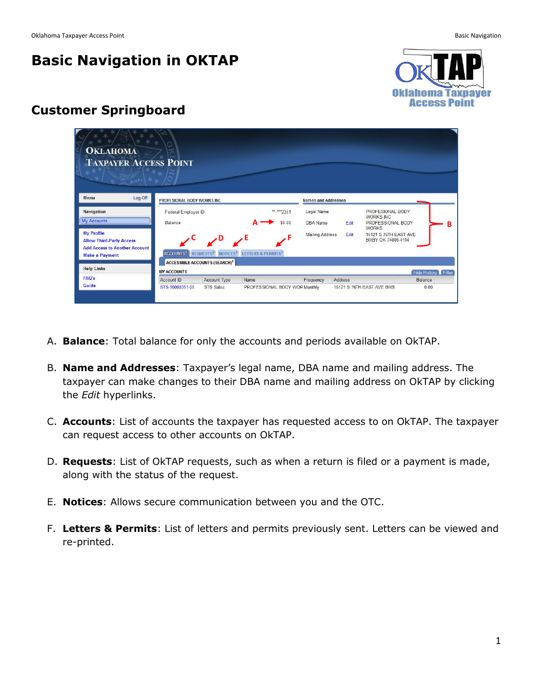## **Basic Navigation in OKTAP**



## **Customer Springboard**

| <b>OKLAHOMA</b><br><b>TAXPAYER ACCESS POINT</b>                                                                       |                                       |                                                     |                                                                                                 |                                  |                                |                |                                                                     |                        |                     |
|-----------------------------------------------------------------------------------------------------------------------|---------------------------------------|-----------------------------------------------------|-------------------------------------------------------------------------------------------------|----------------------------------|--------------------------------|----------------|---------------------------------------------------------------------|------------------------|---------------------|
| Log Off<br><b>Menu</b>                                                                                                | PROFESIONAL BODY WORKS INC            |                                                     |                                                                                                 |                                  | <b>Names and Addresses</b>     |                |                                                                     |                        |                     |
| <b>Navigation</b><br>My Accounts                                                                                      | Federal Employer ID<br><b>Balance</b> |                                                     |                                                                                                 | ** <sub>****2351</sub><br>\$0.00 | Legal Name<br>DBA Name<br>Fdit |                | PROFESIONAL BODY<br><b>WORKS INC</b><br>PROFESSIONAL BODY           |                        | в                   |
| <b>My Profile</b><br><b>Allow Third-Party Access</b><br><b>Add Access to Another Account</b><br><b>Make a Payment</b> |                                       | $\mathbb{Z}^{\mathsf{D}}$ $\mathbb{Z}^{\mathsf{E}}$ | ACCOUNTS <sup>1</sup> REQUESTS <sup>0</sup> NOTICES <sup>1</sup> LETTERS & PERMITS <sup>1</sup> |                                  | <b>Mailing Address</b>         | Edit           | <b>WORKS</b><br><b>15121 S 76TH EAST AVE</b><br>BIXBY OK 74008-4114 |                        |                     |
| <b>Help Links</b>                                                                                                     | <b>MY ACCOUNTS</b>                    | <b>ACCESSIBLE ACCOUNTS (SEARCH)<sup>1</sup></b>     |                                                                                                 |                                  |                                |                |                                                                     |                        | Hide History Filter |
| <b>FAQ's</b><br>Guide                                                                                                 | Account ID<br>STS-10000351-05         | Account Type<br><b>STS Sales</b>                    | Name<br>PROFESSIONAL BODY WOR Monthly                                                           |                                  | Frequency                      | <b>Address</b> | 15121 S 76TH EAST AVE BIXB                                          | <b>Balance</b><br>0.00 |                     |

- A. **Balance**: Total balance for only the accounts and periods available on OkTAP.
- B. **Name and Addresses**: Taxpayer's legal name, DBA name and mailing address. The taxpayer can make changes to their DBA name and mailing address on OkTAP by clicking the *Edit* hyperlinks.
- C. **Accounts**: List of accounts the taxpayer has requested access to on OkTAP. The taxpayer can request access to other accounts on OkTAP.
- D. **Requests**: List of OkTAP requests, such as when a return is filed or a payment is made, along with the status of the request.
- E. **Notices**: Allows secure communication between you and the OTC.
- F. **Letters & Permits**: List of letters and permits previously sent. Letters can be viewed and re-printed.